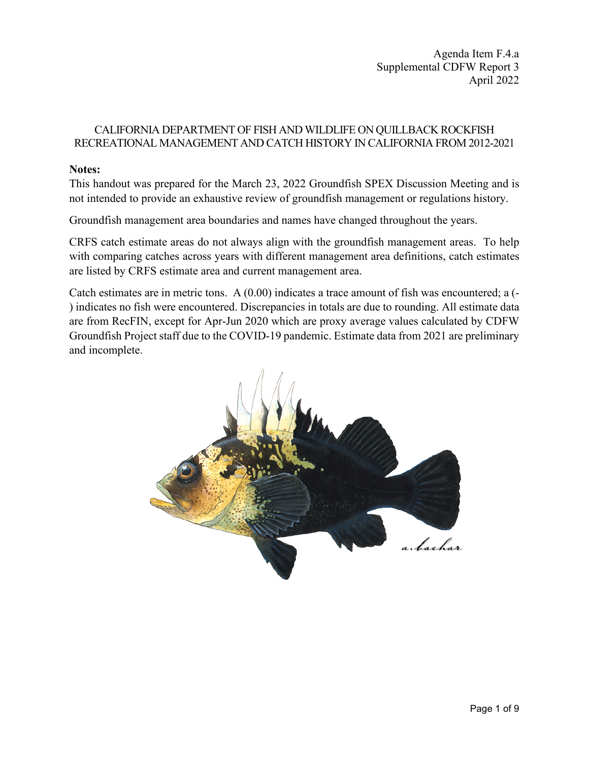Agenda Item F.4.a Supplemental CDFW Report 3 April 2022

## CALIFORNIA DEPARTMENT OF FISH AND WILDLIFE ON QUILLBACK ROCKFISH RECREATIONAL MANAGEMENT AND CATCH HISTORY IN CALIFORNIA FROM 2012-2021

### **Notes:**

This handout was prepared for the March 23, 2022 Groundfish SPEX Discussion Meeting and is not intended to provide an exhaustive review of groundfish management or regulations history.

Groundfish management area boundaries and names have changed throughout the years.

CRFS catch estimate areas do not always align with the groundfish management areas. To help with comparing catches across years with different management area definitions, catch estimates are listed by CRFS estimate area and current management area.

Catch estimates are in metric tons. A (0.00) indicates a trace amount of fish was encountered; a (- ) indicates no fish were encountered. Discrepancies in totals are due to rounding. All estimate data are from RecFIN, except for Apr-Jun 2020 which are proxy average values calculated by CDFW Groundfish Project staff due to the COVID-19 pandemic. Estimate data from 2021 are preliminary and incomplete.

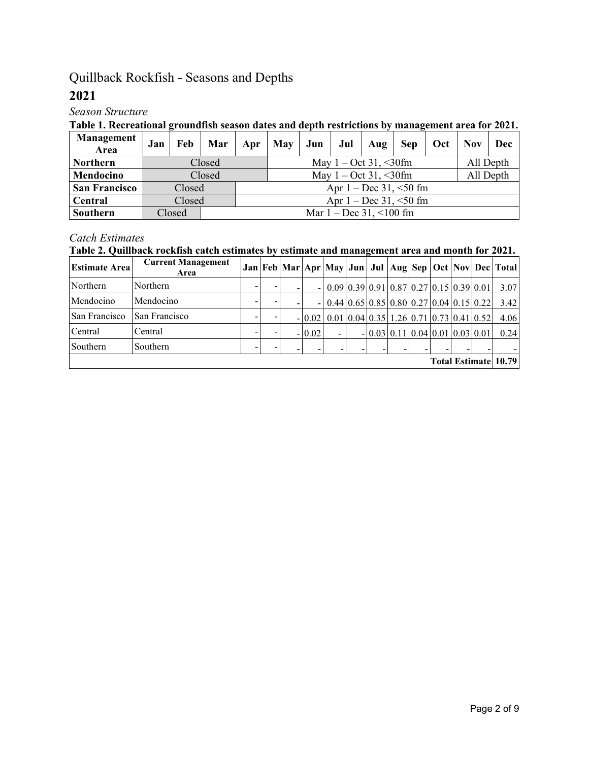# Quillback Rockfish - Seasons and Depths

# **2021**

# *Season Structure*

## **Table 1. Recreational groundfish season dates and depth restrictions by management area for 2021.**

| Management<br>Area   | Jan |        | Feb   Mar |                                                   | $Apr$ May | Jun <sup>1</sup> |                                      | Jul $\vert$ Aug | $\blacksquare$ Sep          | Oct   Nov |  | Dec       |  |  |  |
|----------------------|-----|--------|-----------|---------------------------------------------------|-----------|------------------|--------------------------------------|-----------------|-----------------------------|-----------|--|-----------|--|--|--|
| <b>Northern</b>      |     |        | Closed    |                                                   |           |                  | May $1 - \text{Oct } 31, \leq 30$ fm |                 |                             |           |  | All Depth |  |  |  |
| Mendocino            |     |        | Closed    | All Depth<br>May $1 - \text{Oct } 31, \leq 30$ fm |           |                  |                                      |                 |                             |           |  |           |  |  |  |
| <b>San Francisco</b> |     | Closed |           |                                                   |           |                  |                                      |                 | Apr $1 - Dec 31, \le 50$ fm |           |  |           |  |  |  |
| Central              |     | Closed |           | Apr $1 - Dec 31, \le 50$ fm                       |           |                  |                                      |                 |                             |           |  |           |  |  |  |
| Southern             |     | Closed |           | Mar $1 - Dec 31, \le 100$ fm                      |           |                  |                                      |                 |                             |           |  |           |  |  |  |

## *Catch Estimates*

# **Table 2. Quillback rockfish catch estimates by estimate and management area and month for 2021.**

| <b>Estimate Area</b> | <b>Current Management</b><br>Area |  |          |  |  |  |                                                                              | Jan   Feb   Mar   Apr   May   Jun   Jul   Aug   Sep   Oct   Nov   Dec   Total |
|----------------------|-----------------------------------|--|----------|--|--|--|------------------------------------------------------------------------------|-------------------------------------------------------------------------------|
| Northern             | Northern                          |  | $\sim$   |  |  |  | $0.09 \mid 0.39 \mid 0.91 \mid 0.87 \mid 0.27 \mid 0.15 \mid 0.39 \mid 0.01$ | 3.07                                                                          |
| Mendocino            | Mendocino                         |  | $\sim$   |  |  |  | $0.44 \mid 0.65 \mid 0.85 \mid 0.80 \mid 0.27 \mid 0.04 \mid 0.15 \mid 0.22$ | 3.42                                                                          |
| San Francisco        | San Francisco                     |  | $-10.02$ |  |  |  | $0.01 \mid 0.04 \mid 0.35 \mid 1.26 \mid 0.71 \mid 0.73 \mid 0.41 \mid 0.52$ | 4.06                                                                          |
| Central              | Central                           |  | $-10.02$ |  |  |  | $- 0.03 0.11 0.04 0.01 0.03 0.01$                                            | 0.24                                                                          |
| Southern             | Southern                          |  |          |  |  |  |                                                                              |                                                                               |
|                      |                                   |  |          |  |  |  |                                                                              | Total Estimate   10.79                                                        |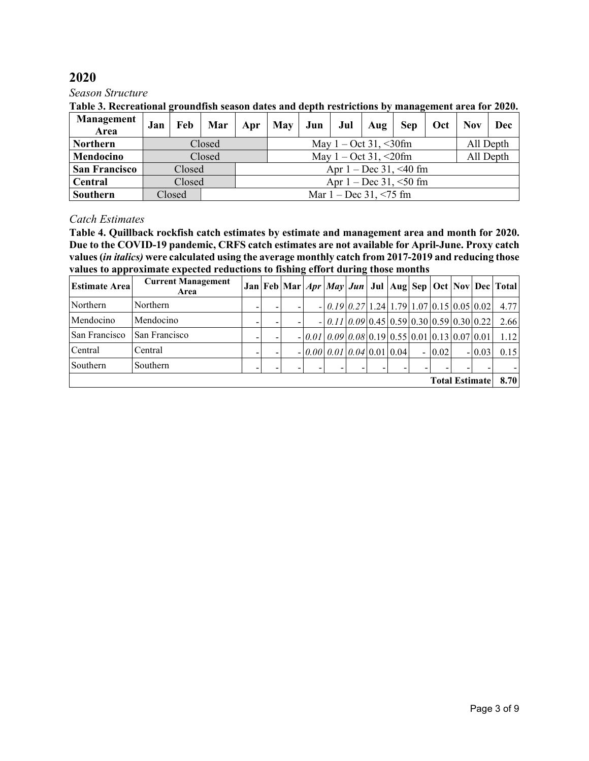*Season Structure*

| Table 3. Recreational groundfish season dates and depth restrictions by management area for 2020. |
|---------------------------------------------------------------------------------------------------|
|---------------------------------------------------------------------------------------------------|

| <b>Management</b><br>Area | Jan |        | Feb   Mar |                                                   | Apr   May   Jun |  |  | Jul Aug                              |                             | Sep   Oct   Nov |  | Dec       |  |  |  |
|---------------------------|-----|--------|-----------|---------------------------------------------------|-----------------|--|--|--------------------------------------|-----------------------------|-----------------|--|-----------|--|--|--|
| <b>Northern</b>           |     |        | Closed    |                                                   |                 |  |  | May $1 - \text{Oct } 31, \leq 30$ fm |                             |                 |  | All Depth |  |  |  |
| Mendocino                 |     |        | Closed    | All Depth<br>May $1 - \text{Oct } 31, \leq 20$ fm |                 |  |  |                                      |                             |                 |  |           |  |  |  |
| <b>San Francisco</b>      |     | Closed |           |                                                   |                 |  |  |                                      | Apr $1 - Dec 31, \le 40$ fm |                 |  |           |  |  |  |
| Central                   |     | Closed |           |                                                   |                 |  |  |                                      | Apr $1 - Dec 31, \le 50$ fm |                 |  |           |  |  |  |
| <b>Southern</b>           |     | Closed |           |                                                   |                 |  |  | Mar $1 - Dec 31, \le 75$ fm          |                             |                 |  |           |  |  |  |

## *Catch Estimates*

**Table 4. Quillback rockfish catch estimates by estimate and management area and month for 2020. Due to the COVID-19 pandemic, CRFS catch estimates are not available for April-June. Proxy catch values (***in italics)* **were calculated using the average monthly catch from 2017-2019 and reducing those values to approximate expected reductions to fishing effort during those months**

| <b>Estimate Area</b> | <b>Current Management</b><br>Area |  |  |                                                 |  |  |          |                       |          | Jan   Feb   Mar   <i>Apr   May   Jun  </i> Jul   Aug   Sep   Oct   Nov   Dec   Total |
|----------------------|-----------------------------------|--|--|-------------------------------------------------|--|--|----------|-----------------------|----------|--------------------------------------------------------------------------------------|
| Northern             | Northern                          |  |  | $-0.1902712412910701015005002$                  |  |  |          |                       |          | 4.77                                                                                 |
| Mendocino            | Mendocino                         |  |  | $-  0.11 0.09 0.45 0.59 0.30 0.59 0.30 0.22 $   |  |  |          |                       |          | 2.66                                                                                 |
| San Francisco        | San Francisco                     |  |  | $-0.01[0.09]0.08[0.19]0.55[0.01]0.13[0.07]0.01$ |  |  |          |                       |          | 1.12                                                                                 |
| Central              | Central                           |  |  | $-0.0000001004001001$                           |  |  | $-10.02$ |                       | $-10.03$ | 0.15                                                                                 |
| Southern             | Southern                          |  |  |                                                 |  |  |          |                       |          |                                                                                      |
|                      |                                   |  |  |                                                 |  |  |          | <b>Total Estimate</b> |          | 8.70                                                                                 |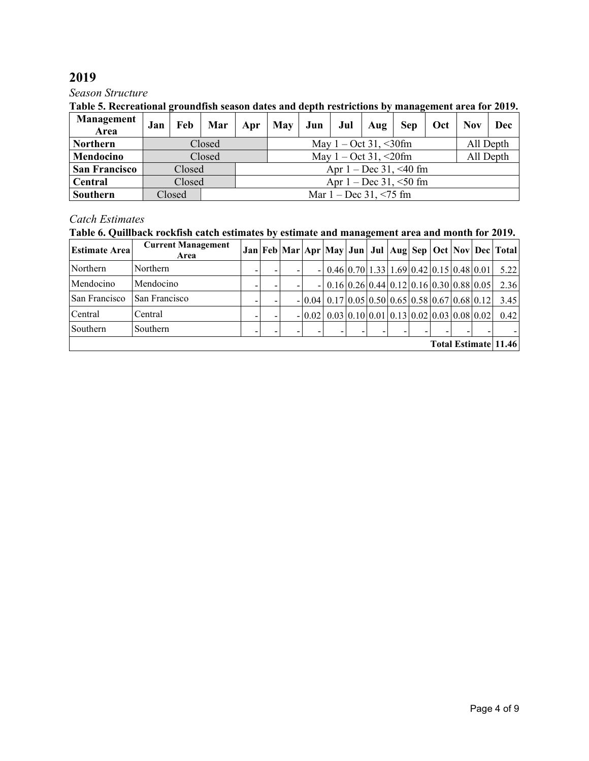### *Season Structure*

## **Table 5. Recreational groundfish season dates and depth restrictions by management area for 2019.**

| <b>Management</b><br>Area | Jan |        | Feb   Mar | Apr                                               | $\vert$ May $\vert$ | Jun |                                      | Jul   Aug | <b>Sep</b>                  | Oct | <b>Nov</b> | Dec       |  |  |  |
|---------------------------|-----|--------|-----------|---------------------------------------------------|---------------------|-----|--------------------------------------|-----------|-----------------------------|-----|------------|-----------|--|--|--|
| <b>Northern</b>           |     |        | Closed    |                                                   |                     |     | May $1 - \text{Oct } 31, \leq 30$ fm |           |                             |     |            | All Depth |  |  |  |
| Mendocino                 |     |        | Closed    | All Depth<br>May $1 - \text{Oct } 31, \leq 20$ fm |                     |     |                                      |           |                             |     |            |           |  |  |  |
| <b>San Francisco</b>      |     | Closed |           |                                                   |                     |     |                                      |           | Apr $1 - Dec 31, \le 40$ fm |     |            |           |  |  |  |
| Central                   |     | Closed |           |                                                   |                     |     |                                      |           | Apr $1 - Dec 31, \le 50$ fm |     |            |           |  |  |  |
| Southern                  |     | Closed |           |                                                   |                     |     | Mar $1 - Dec 31, \le 75$ fm          |           |                             |     |            |           |  |  |  |

# *Catch Estimates*

### **Table 6. Quillback rockfish catch estimates by estimate and management area and month for 2019.**

| <b>Estimate Area</b> | <b>Current Management</b><br>Area |  |   |  |                |                                                                              |                                                                              |  |  |  |  |  |  | Jan   Feb   Mar   Apr   May   Jun   Jul   Aug   Sep   Oct   Nov   Dec   Total |
|----------------------|-----------------------------------|--|---|--|----------------|------------------------------------------------------------------------------|------------------------------------------------------------------------------|--|--|--|--|--|--|-------------------------------------------------------------------------------|
| Northern             | Northern                          |  | - |  | $\sim$         | $0.46 \mid 0.70 \mid 1.33 \mid 1.69 \mid 0.42 \mid 0.15 \mid 0.48 \mid 0.01$ |                                                                              |  |  |  |  |  |  | 5.22                                                                          |
| Mendocino            | Mendocino                         |  |   |  | $\blacksquare$ | $0.16 \mid 0.26 \mid 0.44 \mid 0.12 \mid 0.16 \mid 0.30 \mid 0.88 \mid 0.05$ |                                                                              |  |  |  |  |  |  | 2.36                                                                          |
| San Francisco        | San Francisco                     |  |   |  | $-10.04$       | $0.17 \mid 0.05 \mid 0.50 \mid 0.65 \mid 0.58 \mid 0.67 \mid 0.68 \mid 0.12$ |                                                                              |  |  |  |  |  |  | 3.45                                                                          |
| Central              | Central                           |  |   |  | $-10.02$       |                                                                              | $0.03 \mid 0.10 \mid 0.01 \mid 0.13 \mid 0.02 \mid 0.03 \mid 0.08 \mid 0.02$ |  |  |  |  |  |  | 0.42                                                                          |
| Southern             | Southern                          |  |   |  |                |                                                                              |                                                                              |  |  |  |  |  |  |                                                                               |
| Total Estimate 11.46 |                                   |  |   |  |                |                                                                              |                                                                              |  |  |  |  |  |  |                                                                               |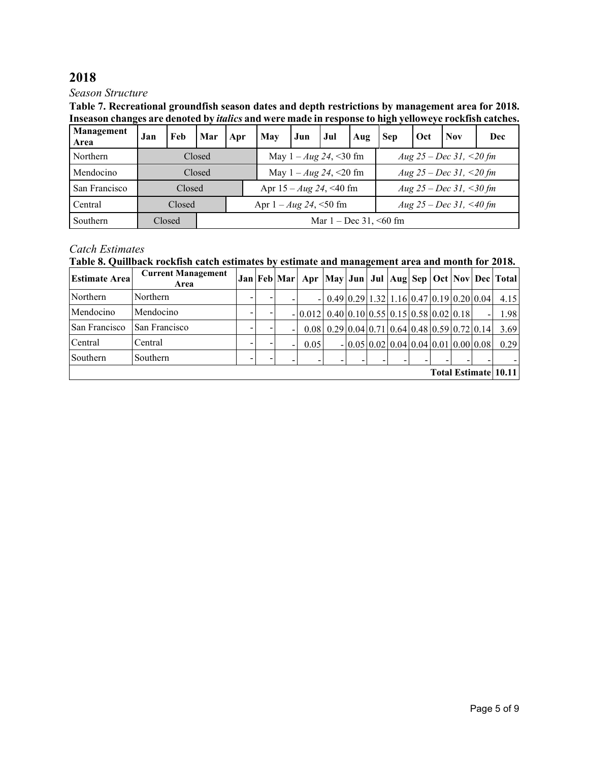### *Season Structure*

**Table 7. Recreational groundfish season dates and depth restrictions by management area for 2018. Inseason changes are denoted by** *italics* **and were made in response to high yelloweye rockfish catches.** 

| Management<br>Area | Jan | Feb    | Mar                         | Apr | May                                                      | Jun | <b>Jul</b>                    | Aug | <b>Sep</b>              | Oct | <b>Nov</b>              | Dec |  |  |  |
|--------------------|-----|--------|-----------------------------|-----|----------------------------------------------------------|-----|-------------------------------|-----|-------------------------|-----|-------------------------|-----|--|--|--|
| Northern           |     |        | Closed                      |     |                                                          |     | May $1 - Aug\ 24, \leq 30$ fm |     |                         |     | Aug 25 – Dec 31, <20 fm |     |  |  |  |
| Mendocino          |     |        | Closed                      |     |                                                          |     | May $1 - Aug\ 24, \leq 20$ fm |     | Aug 25 – Dec 31, <20 fm |     |                         |     |  |  |  |
| San Francisco      |     | Closed |                             |     | Apr $15 - Aug\ 24, \leq 40$ fm                           |     |                               |     | Aug 25 – Dec 31, <30 fm |     |                         |     |  |  |  |
| Central            |     | Closed |                             |     | Aug 25 – Dec 31, <40 fm<br>Apr $1 - Aug\ 24, \leq 50$ fm |     |                               |     |                         |     |                         |     |  |  |  |
| Southern           |     | Closed | Mar $1 - Dec 31, \le 60$ fm |     |                                                          |     |                               |     |                         |     |                         |     |  |  |  |

## *Catch Estimates*

**Table 8. Quillback rockfish catch estimates by estimate and management area and month for 2018.**

| <b>Estimate Area</b> | <b>Current Management</b><br>Area |   |  |   |                                             |                                                                                             |                                                                              |  |  |  |  |  |  | Jan Feb Mar  Apr  May Jun Jul  Aug  Sep   Oct   Nov   Dec   Total |
|----------------------|-----------------------------------|---|--|---|---------------------------------------------|---------------------------------------------------------------------------------------------|------------------------------------------------------------------------------|--|--|--|--|--|--|-------------------------------------------------------------------|
| Northern             | Northern                          | - |  |   |                                             |                                                                                             | $0.49 \mid 0.29 \mid 1.32 \mid 1.16 \mid 0.47 \mid 0.19 \mid 0.20 \mid 0.04$ |  |  |  |  |  |  | 4.15                                                              |
| Mendocino            | Mendocino                         |   |  |   | $-0.012$ 0.40 0.10 0.55 0.15 0.58 0.02 0.18 |                                                                                             |                                                                              |  |  |  |  |  |  | 1.98                                                              |
| San Francisco        | San Francisco                     | - |  |   |                                             | $0.08 \mid 0.29 \mid 0.04 \mid 0.71 \mid 0.64 \mid 0.48 \mid 0.59 \mid 0.72 \mid 0.14 \mid$ |                                                                              |  |  |  |  |  |  | 3.69                                                              |
| Central              | Central                           |   |  | - | 0.05                                        |                                                                                             | $-0.05 \, 0.02 \, 0.04 \, 0.04 \, 0.01 \, 0.00 \, 0.08$                      |  |  |  |  |  |  | 0.29                                                              |
| Southern             | Southern                          |   |  |   |                                             |                                                                                             |                                                                              |  |  |  |  |  |  |                                                                   |
|                      | Total Estimate 10.11              |   |  |   |                                             |                                                                                             |                                                                              |  |  |  |  |  |  |                                                                   |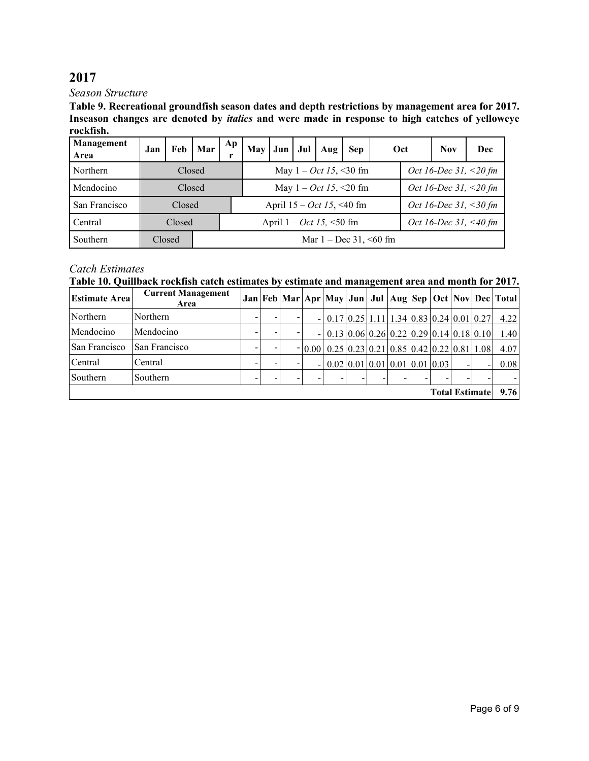*Season Structure*

**Table 9. Recreational groundfish season dates and depth restrictions by management area for 2017. Inseason changes are denoted by** *italics* **and were made in response to high catches of yelloweye rockfish.** 

| Management<br>Area | Jan | Feb    | Mar | Ap                                                  | <b>May</b> | Jun | Jul | Aug                         | <b>Sep</b>                              | Oct |                       | <b>Nov</b>               | Dec |  |  |
|--------------------|-----|--------|-----|-----------------------------------------------------|------------|-----|-----|-----------------------------|-----------------------------------------|-----|-----------------------|--------------------------|-----|--|--|
| Northern           |     | Closed |     |                                                     |            |     |     |                             | May $1 - Oct \, 15, \, 30 \, \text{fm}$ |     |                       | Oct 16-Dec 31, $<$ 20 fm |     |  |  |
| Mendocino          |     | Closed |     |                                                     |            |     |     |                             | May $1 - Oct \, 15, \, 20 \, \text{fm}$ |     |                       | Oct 16-Dec 31, $<$ 20 fm |     |  |  |
| San Francisco      |     | Closed |     |                                                     |            |     |     | April $15 - Oct$ 15, <40 fm |                                         |     | Oct 16-Dec 31, <30 fm |                          |     |  |  |
| Central            |     | Closed |     | April $1 - Oct$ 15, <50 fm<br>Oct 16-Dec 31, <40 fm |            |     |     |                             |                                         |     |                       |                          |     |  |  |
| Southern           |     | Closed |     | Mar $1 - Dec 31, \le 60$ fm                         |            |     |     |                             |                                         |     |                       |                          |     |  |  |

## *Catch Estimates*

**Table 10. Quillback rockfish catch estimates by estimate and management area and month for 2017.**

| <b>Estimate Area</b>  | <b>Current Management</b><br>Area |   |  |  |                          |                                                                                                 |  |  |  |  |  |  |                          | Jan   Feb   Mar   Apr   May   Jun   Jul   Aug   Sep   Oct   Nov   Dec   Total |
|-----------------------|-----------------------------------|---|--|--|--------------------------|-------------------------------------------------------------------------------------------------|--|--|--|--|--|--|--------------------------|-------------------------------------------------------------------------------|
| Northern              | Northern                          | ۰ |  |  |                          | $- 0.17 0.25 1.11 1.34 0.83 0.24 0.01 0.27$                                                     |  |  |  |  |  |  |                          | 4.22                                                                          |
| Mendocino             | Mendocino                         | ۰ |  |  | $\overline{\phantom{a}}$ | $\vert 0.13 \vert 0.06 \vert 0.26 \vert 0.22 \vert 0.29 \vert 0.14 \vert 0.18 \vert 0.10 \vert$ |  |  |  |  |  |  |                          | 1.40                                                                          |
| San Francisco         | San Francisco                     |   |  |  |                          | $- 0.00 $ 0.25 0.23 0.21 0.85 0.42 0.22 0.81 1.08                                               |  |  |  |  |  |  |                          | 4.07                                                                          |
| Central               | Central                           | ۰ |  |  | $\overline{\phantom{a}}$ | $0.02 \mid 0.01 \mid 0.01 \mid 0.01 \mid 0.01 \mid 0.03 \mid$                                   |  |  |  |  |  |  | $\overline{\phantom{0}}$ | 0.08                                                                          |
| Southern              | Southern                          |   |  |  |                          |                                                                                                 |  |  |  |  |  |  |                          |                                                                               |
| <b>Total Estimate</b> |                                   |   |  |  |                          |                                                                                                 |  |  |  |  |  |  |                          | 9.76                                                                          |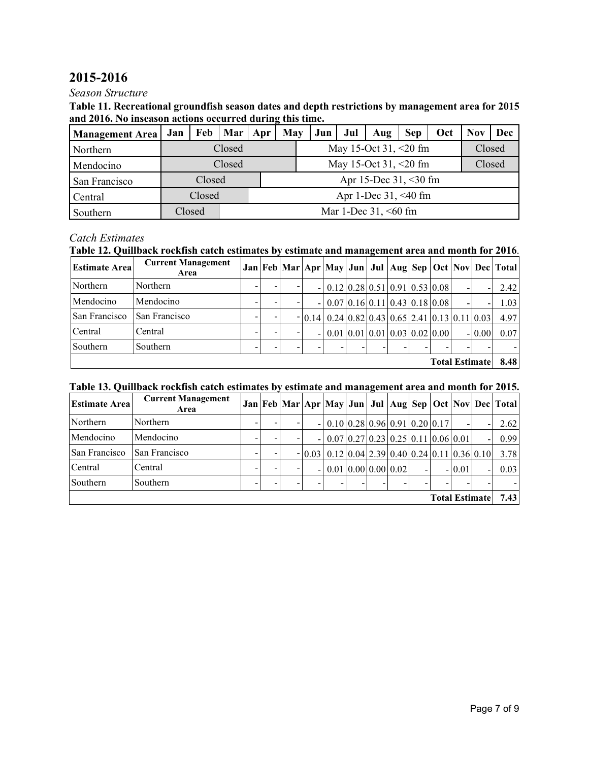# **2015-2016**

### *Season Structure*

#### **Table 11. Recreational groundfish season dates and depth restrictions by management area for 2015 and 2016. No inseason actions occurred during this time.**

| <b>Management Area</b> | Jan | Feb    | Mar   Apr |                         | May | Jun | Jul | Aug                      | <b>Sep</b> | Oct | Nov | Dec    |  |  |  |  |  |  |
|------------------------|-----|--------|-----------|-------------------------|-----|-----|-----|--------------------------|------------|-----|-----|--------|--|--|--|--|--|--|
| Northern               |     |        | Closed    |                         |     |     |     | May 15-Oct 31, <20 fm    |            |     |     | Closed |  |  |  |  |  |  |
| Mendocino              |     |        | Closed    |                         |     |     |     | May 15-Oct 31, $<20$ fm  |            |     |     | Closed |  |  |  |  |  |  |
| San Francisco          |     | Closed |           |                         |     |     |     | Apr 15-Dec $31, < 30$ fm |            |     |     |        |  |  |  |  |  |  |
| Central                |     | Closed |           | Apr 1-Dec $31, < 40$ fm |     |     |     |                          |            |     |     |        |  |  |  |  |  |  |
| Southern               |     | Closed |           | Mar 1-Dec $31, < 60$ fm |     |     |     |                          |            |     |     |        |  |  |  |  |  |  |

## *Catch Estimates*

## **Table 12. Quillback rockfish catch estimates by estimate and management area and month for 2016**.

| <b>Estimate Area</b> | <b>Current Management</b><br>Area |  |                          |                                                                                 |  |  |                       |          | Jan   Feb   Mar   Apr   May   Jun   Jul   Aug   Sep   Oct   Nov   Dec   Total |
|----------------------|-----------------------------------|--|--------------------------|---------------------------------------------------------------------------------|--|--|-----------------------|----------|-------------------------------------------------------------------------------|
| Northern             | Northern                          |  |                          | $- 0.12 0.28 0.51 0.91 0.53 0.08 $                                              |  |  |                       |          | 2.42                                                                          |
| Mendocino            | Mendocino                         |  | $\overline{\phantom{0}}$ | $\vert 0.07 \vert 0.16 \vert 0.11 \vert 0.43 \vert 0.18 \vert 0.08 \vert$       |  |  |                       |          | 1.03                                                                          |
| San Francisco        | San Francisco                     |  |                          | $- 0.14 $ 0.24 0.82 0.43 0.65 2.41 0.13 0.11 0.03                               |  |  |                       |          | 4.97                                                                          |
| Central              | Central                           |  | $\overline{\phantom{a}}$ | $0.01 \,   \, 0.01 \,   \, 0.01 \,   \, 0.03 \,   \, 0.02 \,   \, 0.00 \,   \,$ |  |  |                       | $-10.00$ | 0.07                                                                          |
| Southern             | Southern                          |  |                          |                                                                                 |  |  |                       |          |                                                                               |
|                      |                                   |  |                          |                                                                                 |  |  | <b>Total Estimate</b> |          | 8.48                                                                          |

### **Table 13. Quillback rockfish catch estimates by estimate and management area and month for 2015.**

| <b>Estimate Area</b> | <b>Current Management</b><br>Area |  |                          |                                                                           |                                                                         |  |                       |          | Jan   Feb   Mar   Apr   May   Jun   Jul   Aug   Sep   Oct   Nov   Dec   Total |
|----------------------|-----------------------------------|--|--------------------------|---------------------------------------------------------------------------|-------------------------------------------------------------------------|--|-----------------------|----------|-------------------------------------------------------------------------------|
| Northern             | Northern                          |  |                          | $\vert 0.10 \vert 0.28 \vert 0.96 \vert 0.91 \vert 0.20 \vert 0.17 \vert$ |                                                                         |  |                       |          | 2.62                                                                          |
| Mendocino            | Mendocino                         |  |                          |                                                                           | $0.07 \mid 0.27 \mid 0.23 \mid 0.25 \mid 0.11 \mid 0.06 \mid 0.01 \mid$ |  |                       |          | 0.99                                                                          |
| San Francisco        | San Francisco                     |  |                          | $- 0.03 0.12 0.04 2.39 0.40 0.24 0.11 0.36 0.10 $                         |                                                                         |  |                       |          | 3.78                                                                          |
| Central              | Central                           |  | $\overline{\phantom{a}}$ |                                                                           | $0.01 \mid 0.00 \mid 0.00 \mid 0.02 \mid$                               |  |                       | $-10.01$ | 0.03                                                                          |
| Southern             | Southern                          |  |                          |                                                                           |                                                                         |  |                       |          |                                                                               |
|                      |                                   |  |                          |                                                                           |                                                                         |  | <b>Total Estimate</b> |          | 7.43                                                                          |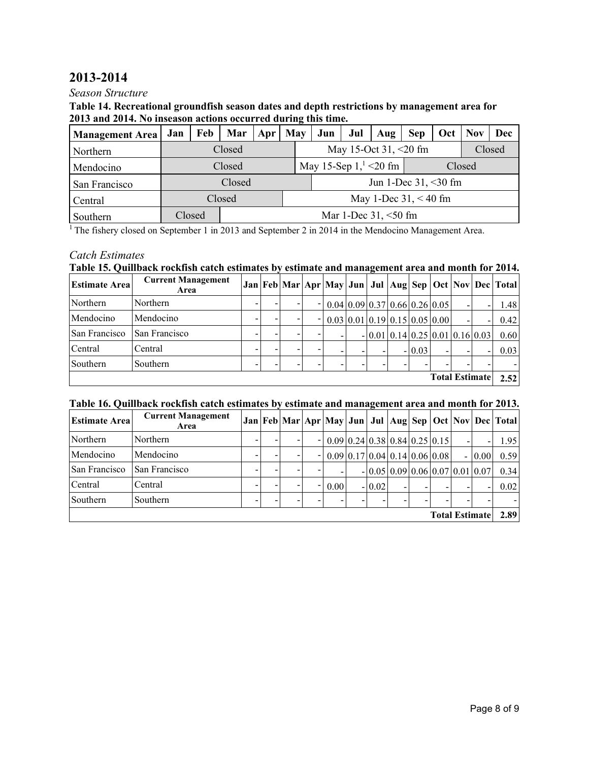# **2013-2014**

### *Season Structure*

#### **Table 14. Recreational groundfish season dates and depth restrictions by management area for 2013 and 2014. No inseason actions occurred during this time.**

| <b>Management Area</b> | Jan | Feb    | Mar                    | Apr                                | May |  | Jun                     | Jul | Aug    | <b>Sep</b>              | Oct | <b>Nov</b> | Dec |
|------------------------|-----|--------|------------------------|------------------------------------|-----|--|-------------------------|-----|--------|-------------------------|-----|------------|-----|
| Northern               |     |        | Closed                 |                                    |     |  | May 15-Oct 31, $<20$ fm |     | Closed |                         |     |            |     |
| Mendocino              |     |        | Closed                 | May 15-Sep $1,1 < 20$ fm<br>Closed |     |  |                         |     |        |                         |     |            |     |
| San Francisco          |     |        | Closed                 |                                    |     |  |                         |     |        | Jun 1-Dec $31, < 30$ fm |     |            |     |
| Central                |     |        | Closed                 | May 1-Dec $31, < 40$ fm            |     |  |                         |     |        |                         |     |            |     |
| Southern               |     | Closed | Mar 1-Dec $31, <50$ fm |                                    |     |  |                         |     |        |                         |     |            |     |

<sup>1</sup> The fishery closed on September 1 in 2013 and September 2 in 2014 in the Mendocino Management Area.

## *Catch Estimates*

### **Table 15. Quillback rockfish catch estimates by estimate and management area and month for 2014.**

| Estimate Area | <b>Current Management</b><br>Area |   |                          |                                                                                 |  |          |  |                                    | Jan   Feb   Mar   Apr   May   Jun   Jul   Aug   Sep   Oct   Nov   Dec   Total |
|---------------|-----------------------------------|---|--------------------------|---------------------------------------------------------------------------------|--|----------|--|------------------------------------|-------------------------------------------------------------------------------|
| Northern      | Northern                          |   | $\overline{\phantom{0}}$ | $\vert 0.04 \vert 0.09 \vert 0.37 \vert 0.66 \vert 0.26 \vert 0.05 \vert$       |  |          |  |                                    | 1.48                                                                          |
| Mendocino     | Mendocino                         |   | $\overline{\phantom{a}}$ | $0.03 \,   \, 0.01 \,   \, 0.19 \,   \, 0.15 \,   \, 0.05 \,   \, 0.00 \,   \,$ |  |          |  |                                    | 0.42                                                                          |
| San Francisco | San Francisco                     |   |                          |                                                                                 |  |          |  | $- 0.01 0.14 0.25 0.01 0.16 0.03 $ | 0.60                                                                          |
| Central       | Central                           | - |                          |                                                                                 |  | $-10.03$ |  |                                    | 0.03                                                                          |
| Southern      | Southern                          |   |                          |                                                                                 |  |          |  |                                    |                                                                               |
|               |                                   |   |                          |                                                                                 |  |          |  | <b>Total Estimate</b>              | 2.52                                                                          |

#### **Table 16. Quillback rockfish catch estimates by estimate and management area and month for 2013.**

| <b>Estimate Area</b>  | <b>Current Management</b><br>Area |  |  |  |                          |      |                                                               |          |  |  |                                   |                          |         | Jan Feb Mar Apr May Jun Jul Aug Sep Oct Nov Dec Total |
|-----------------------|-----------------------------------|--|--|--|--------------------------|------|---------------------------------------------------------------|----------|--|--|-----------------------------------|--------------------------|---------|-------------------------------------------------------|
| Northern              | Northern                          |  |  |  |                          |      | $0.09 \mid 0.24 \mid 0.38 \mid 0.84 \mid 0.25 \mid 0.15 \mid$ |          |  |  |                                   | $\overline{\phantom{0}}$ |         | 1.95                                                  |
| Mendocino             | Mendocino                         |  |  |  |                          |      | $0.09 \mid 0.17 \mid 0.04 \mid 0.14 \mid 0.06 \mid 0.08 \mid$ |          |  |  |                                   |                          | $-0.00$ | 0.59                                                  |
| San Francisco         | San Francisco                     |  |  |  |                          |      |                                                               |          |  |  | $-0.05[0.09]0.06[0.07]0.01[0.07]$ |                          |         | 0.34                                                  |
| Central               | Central                           |  |  |  | $\overline{\phantom{a}}$ | 0.00 |                                                               | $-10.02$ |  |  |                                   |                          |         | 0.02                                                  |
| Southern              | Southern                          |  |  |  |                          |      |                                                               |          |  |  |                                   |                          |         |                                                       |
| <b>Total Estimate</b> |                                   |  |  |  |                          |      |                                                               |          |  |  |                                   | 2.89                     |         |                                                       |